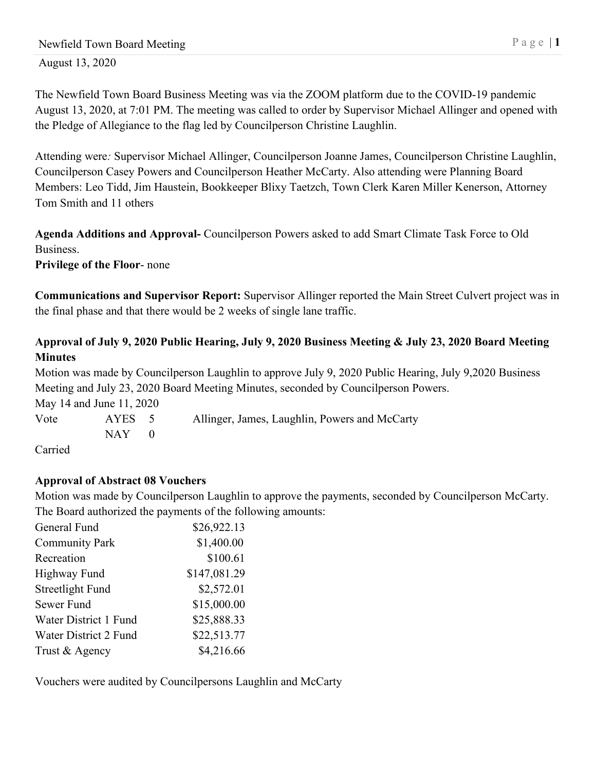The Newfield Town Board Business Meeting was via the ZOOM platform due to the COVID-19 pandemic August 13, 2020, at 7:01 PM. The meeting was called to order by Supervisor Michael Allinger and opened with the Pledge of Allegiance to the flag led by Councilperson Christine Laughlin.

Attending were*:* Supervisor Michael Allinger, Councilperson Joanne James, Councilperson Christine Laughlin, Councilperson Casey Powers and Councilperson Heather McCarty. Also attending were Planning Board Members: Leo Tidd, Jim Haustein, Bookkeeper Blixy Taetzch, Town Clerk Karen Miller Kenerson, Attorney Tom Smith and 11 others

**Agenda Additions and Approval-** Councilperson Powers asked to add Smart Climate Task Force to Old Business.

**Privilege of the Floor**- none

**Communications and Supervisor Report:** Supervisor Allinger reported the Main Street Culvert project was in the final phase and that there would be 2 weeks of single lane traffic.

# **Approval of July 9, 2020 Public Hearing, July 9, 2020 Business Meeting & July 23, 2020 Board Meeting Minutes**

Motion was made by Councilperson Laughlin to approve July 9, 2020 Public Hearing, July 9,2020 Business Meeting and July 23, 2020 Board Meeting Minutes, seconded by Councilperson Powers.

May 14 and June 11, 2020 Vote AYES 5 Allinger, James, Laughlin, Powers and McCarty  $NAY$  0

Carried

# **Approval of Abstract 08 Vouchers**

Motion was made by Councilperson Laughlin to approve the payments, seconded by Councilperson McCarty. The Board authorized the payments of the following amounts:

| General Fund          | \$26,922.13  |
|-----------------------|--------------|
| <b>Community Park</b> | \$1,400.00   |
| Recreation            | \$100.61     |
| <b>Highway Fund</b>   | \$147,081.29 |
| Streetlight Fund      | \$2,572.01   |
| Sewer Fund            | \$15,000.00  |
| Water District 1 Fund | \$25,888.33  |
| Water District 2 Fund | \$22,513.77  |
| Trust & Agency        | \$4,216.66   |

Vouchers were audited by Councilpersons Laughlin and McCarty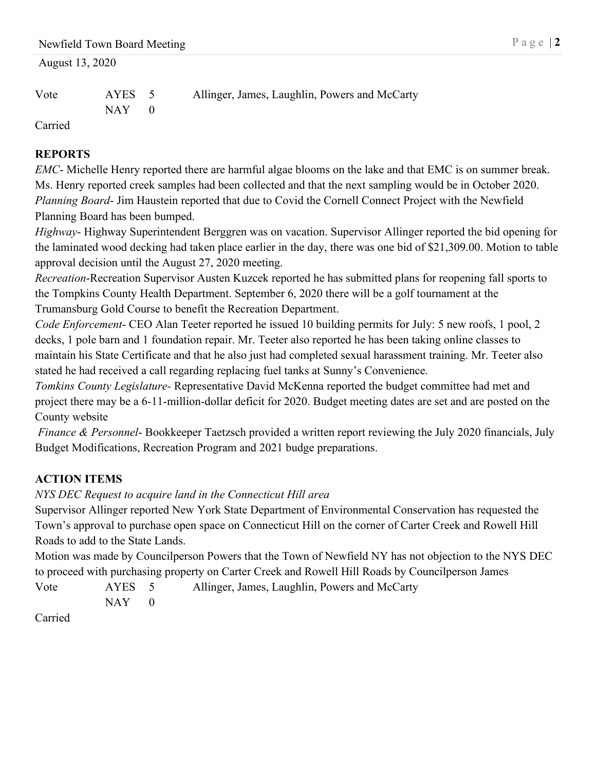# Vote AYES 5 Allinger, James, Laughlin, Powers and McCarty  $NAY$  0

Carried

# **REPORTS**

*EMC*- Michelle Henry reported there are harmful algae blooms on the lake and that EMC is on summer break. Ms. Henry reported creek samples had been collected and that the next sampling would be in October 2020. *Planning Board*- Jim Haustein reported that due to Covid the Cornell Connect Project with the Newfield Planning Board has been bumped.

*Highway*- Highway Superintendent Berggren was on vacation. Supervisor Allinger reported the bid opening for the laminated wood decking had taken place earlier in the day, there was one bid of \$21,309.00. Motion to table approval decision until the August 27, 2020 meeting.

*Recreation*-Recreation Supervisor Austen Kuzcek reported he has submitted plans for reopening fall sports to the Tompkins County Health Department. September 6, 2020 there will be a golf tournament at the Trumansburg Gold Course to benefit the Recreation Department.

*Code Enforcement*- CEO Alan Teeter reported he issued 10 building permits for July: 5 new roofs, 1 pool, 2 decks, 1 pole barn and 1 foundation repair. Mr. Teeter also reported he has been taking online classes to maintain his State Certificate and that he also just had completed sexual harassment training. Mr. Teeter also stated he had received a call regarding replacing fuel tanks at Sunny's Convenience.

*Tomkins County Legislature-* Representative David McKenna reported the budget committee had met and project there may be a 6-11-million-dollar deficit for 2020. Budget meeting dates are set and are posted on the County website

*Finance & Personnel*- Bookkeeper Taetzsch provided a written report reviewing the July 2020 financials, July Budget Modifications, Recreation Program and 2021 budge preparations.

# **ACTION ITEMS**

# *NYS DEC Request to acquire land in the Connecticut Hill area*

Supervisor Allinger reported New York State Department of Environmental Conservation has requested the Town's approval to purchase open space on Connecticut Hill on the corner of Carter Creek and Rowell Hill Roads to add to the State Lands.

Motion was made by Councilperson Powers that the Town of Newfield NY has not objection to the NYS DEC to proceed with purchasing property on Carter Creek and Rowell Hill Roads by Councilperson James

Vote AYES 5 Allinger, James, Laughlin, Powers and McCarty  $NAY$  0

Carried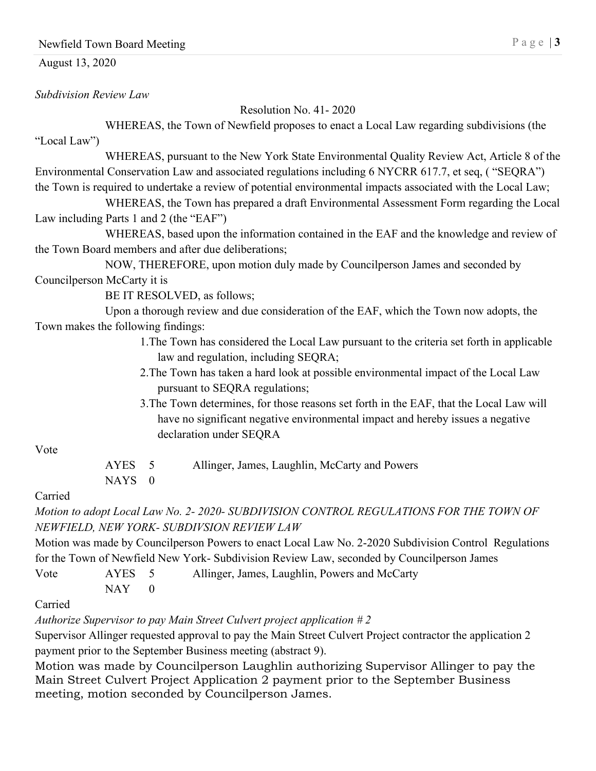## Newfield Town Board Meeting Page | 3

#### August 13, 2020

*Subdivision Review Law*

Resolution No. 41- 2020

WHEREAS, the Town of Newfield proposes to enact a Local Law regarding subdivisions (the "Local Law")

WHEREAS, pursuant to the New York State Environmental Quality Review Act, Article 8 of the Environmental Conservation Law and associated regulations including 6 NYCRR 617.7, et seq, ( "SEQRA") the Town is required to undertake a review of potential environmental impacts associated with the Local Law;

WHEREAS, the Town has prepared a draft Environmental Assessment Form regarding the Local Law including Parts 1 and 2 (the "EAF")

WHEREAS, based upon the information contained in the EAF and the knowledge and review of the Town Board members and after due deliberations;

NOW, THEREFORE, upon motion duly made by Councilperson James and seconded by Councilperson McCarty it is

BE IT RESOLVED, as follows;

Upon a thorough review and due consideration of the EAF, which the Town now adopts, the Town makes the following findings:

- 1.The Town has considered the Local Law pursuant to the criteria set forth in applicable law and regulation, including SEQRA;
- 2.The Town has taken a hard look at possible environmental impact of the Local Law pursuant to SEQRA regulations;
- 3.The Town determines, for those reasons set forth in the EAF, that the Local Law will have no significant negative environmental impact and hereby issues a negative declaration under SEQRA

#### Vote

| AYES 5 | Allinger, James, Laughlin, McCarty and Powers |
|--------|-----------------------------------------------|
| NAYS 0 |                                               |

### Carried

*Motion to adopt Local Law No. 2- 2020- SUBDIVISION CONTROL REGULATIONS FOR THE TOWN OF NEWFIELD, NEW YORK- SUBDIVSION REVIEW LAW*

Motion was made by Councilperson Powers to enact Local Law No. 2-2020 Subdivision Control Regulations for the Town of Newfield New York- Subdivision Review Law, seconded by Councilperson James

Vote AYES 5 Allinger, James, Laughlin, Powers and McCarty

Carried

 $NAY$  0

*Authorize Supervisor to pay Main Street Culvert project application # 2*

Supervisor Allinger requested approval to pay the Main Street Culvert Project contractor the application 2 payment prior to the September Business meeting (abstract 9).

Motion was made by Councilperson Laughlin authorizing Supervisor Allinger to pay the Main Street Culvert Project Application 2 payment prior to the September Business meeting, motion seconded by Councilperson James.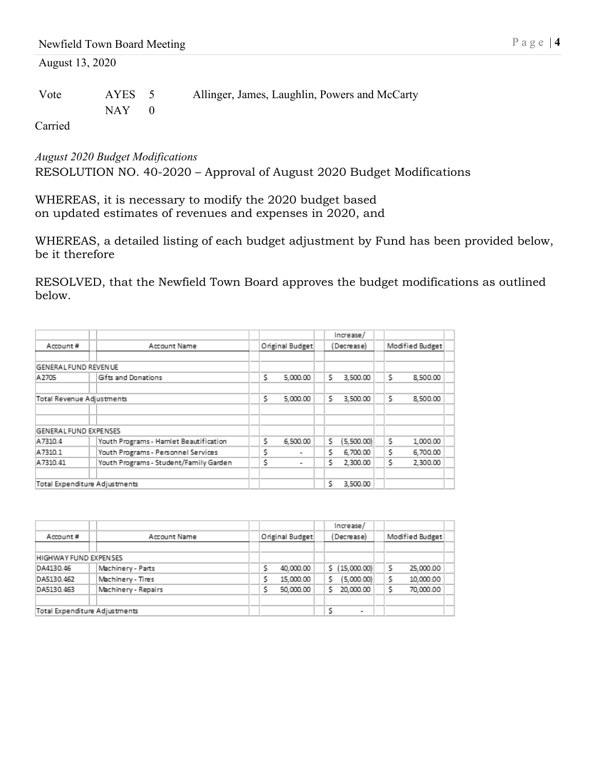| Vote | AYES 5  | Allinger, James, Laughlin, Powers and McCarty |
|------|---------|-----------------------------------------------|
|      | $NAY$ 0 |                                               |

Carried

*August 2020 Budget Modifications* RESOLUTION NO. 40-2020 – Approval of August 2020 Budget Modifications

WHEREAS, it is necessary to modify the 2020 budget based on updated estimates of revenues and expenses in 2020, and

WHEREAS, a detailed listing of each budget adjustment by Fund has been provided below, be it therefore

RESOLVED, that the Newfield Town Board approves the budget modifications as outlined below.

|                               |                                        |   |                 |   | Increase/  |                 |          |  |
|-------------------------------|----------------------------------------|---|-----------------|---|------------|-----------------|----------|--|
| Account Name<br>Account#      |                                        |   | Original Budget |   | (Decrease) | Modified Budget |          |  |
| <b>GENERAL FUND REVEN UE</b>  |                                        |   |                 |   |            |                 |          |  |
| A2705                         | Gifts and Donations                    | s | 5,000.00        | s | 3,500.00   | s               | 8,500.00 |  |
| Total Revenue Adjustments     |                                        | s | 5,000.00        | s | 3,500.00   | s               | 8,500.00 |  |
| GENERAL FUND EXPENSES         |                                        |   |                 |   |            |                 |          |  |
| A7310.4                       | Youth Programs - Hamlet Beautification | s | 6,500.00        | s | (5,500.00) | s               | 1,000.00 |  |
| A7310.1                       | Youth Programs - Personnel Services    | ٢ | ۰               | Ś | 6,700.00   | s               | 6,700.00 |  |
| A7310.41                      | Youth Programs - Student/Family Garden | s | ۰               | s | 2,300.00   | s               | 2,300.00 |  |
| Total Expenditure Adjustments |                                        |   |                 | Ś | 3.500.00   |                 |          |  |

|                               |  |                     |                 | Increase/                     |                 |
|-------------------------------|--|---------------------|-----------------|-------------------------------|-----------------|
| Account#                      |  | Account Name        | Original Budget | (Decrease)                    | Modified Budget |
|                               |  |                     |                 |                               |                 |
| HIGHWAY FUND EXPENSES         |  |                     |                 |                               |                 |
| DA4130.46                     |  | Machinery - Parts   | ٢<br>40,000.00  | \$ (15,000.00)                | 25,000.00       |
| DA5130.462                    |  | Machinery - Tires   | 15,000.00       | s<br>(5,000.00)               | 10,000.00       |
| DA5130.463                    |  | Machinery - Repairs | 50,000.00       | s<br>20,000.00                | 70,000.00       |
|                               |  |                     |                 |                               |                 |
| Total Expenditure Adjustments |  |                     |                 | ς<br>$\overline{\phantom{a}}$ |                 |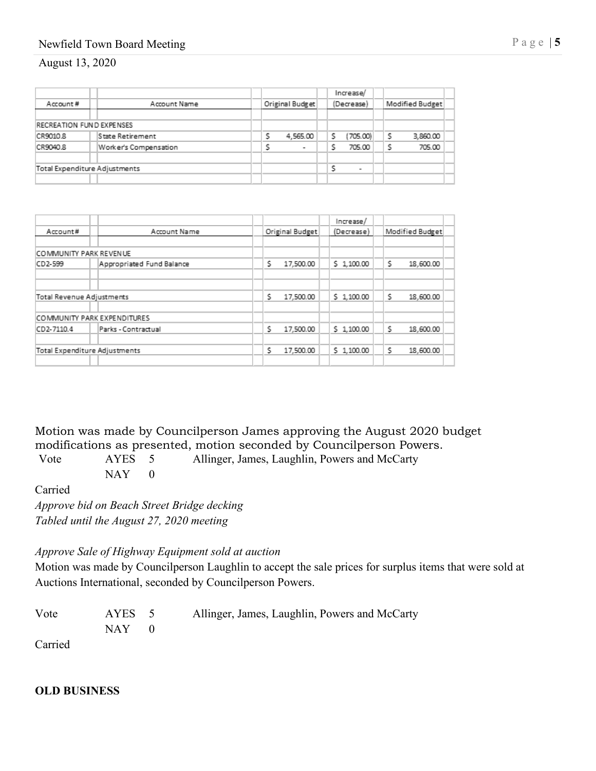# Newfield Town Board Meeting Page | 5

#### August 13, 2020

|                               |  |                       |                               |  |                |  |  | Increase/                |  |  |          |
|-------------------------------|--|-----------------------|-------------------------------|--|----------------|--|--|--------------------------|--|--|----------|
| Account#                      |  | Account Name          | Original Budget<br>(Decrease) |  |                |  |  | Modified Budget          |  |  |          |
|                               |  |                       |                               |  |                |  |  |                          |  |  |          |
| RECREATION FUND EXPENSES      |  |                       |                               |  |                |  |  |                          |  |  |          |
| CR9010.8                      |  | State Retirement      |                               |  | 4,565.00       |  |  | (705.00)                 |  |  | 3,860.00 |
| CR9040.8                      |  | Worker's Compensation |                               |  | $\overline{a}$ |  |  | 705.00                   |  |  | 705.00   |
|                               |  |                       |                               |  |                |  |  |                          |  |  |          |
| Total Expenditure Adjustments |  |                       |                               |  |                |  |  | $\overline{\phantom{a}}$ |  |  |          |
|                               |  |                       |                               |  |                |  |  |                          |  |  |          |

|                               |  |                             |  |                 |           |  | Increase/  |                 |           |  |
|-------------------------------|--|-----------------------------|--|-----------------|-----------|--|------------|-----------------|-----------|--|
| Account#                      |  | Account Name                |  | Original Budget |           |  | (Decrease) | Modified Budget |           |  |
|                               |  |                             |  |                 |           |  |            |                 |           |  |
| <b>COMMUNITY PARK REVENUE</b> |  |                             |  |                 |           |  |            |                 |           |  |
| CD2-599                       |  | Appropriated Fund Balance   |  | s               | 17,500.00 |  | \$1,100.00 | s               | 18,600.00 |  |
|                               |  |                             |  |                 |           |  |            |                 |           |  |
| Total Revenue Adjustments     |  |                             |  | s               | 17,500.00 |  | \$1,100.00 | s               | 18,600.00 |  |
|                               |  | COMMUNITY PARK EXPENDITURES |  |                 |           |  |            |                 |           |  |
| CD2-7110.4                    |  | Parks - Contractual         |  | s               | 17,500.00 |  | \$1,100.00 | s               | 18,600.00 |  |
| Total Expenditure Adjustments |  |                             |  | \$              | 17,500.00 |  | \$1,100.00 | \$              | 18,600.00 |  |
|                               |  |                             |  |                 |           |  |            |                 |           |  |

Motion was made by Councilperson James approving the August 2020 budget modifications as presented, motion seconded by Councilperson Powers.

Vote AYES 5 Allinger, James, Laughlin, Powers and McCarty  $NAY$  0

Carried

*Approve bid on Beach Street Bridge decking Tabled until the August 27, 2020 meeting*

#### *Approve Sale of Highway Equipment sold at auction*

Motion was made by Councilperson Laughlin to accept the sale prices for surplus items that were sold at Auctions International, seconded by Councilperson Powers.

| Vote | AYES 5     | Allinger, James, Laughlin, Powers and McCarty |
|------|------------|-----------------------------------------------|
|      | $NAY \t 0$ |                                               |

Carried

**OLD BUSINESS**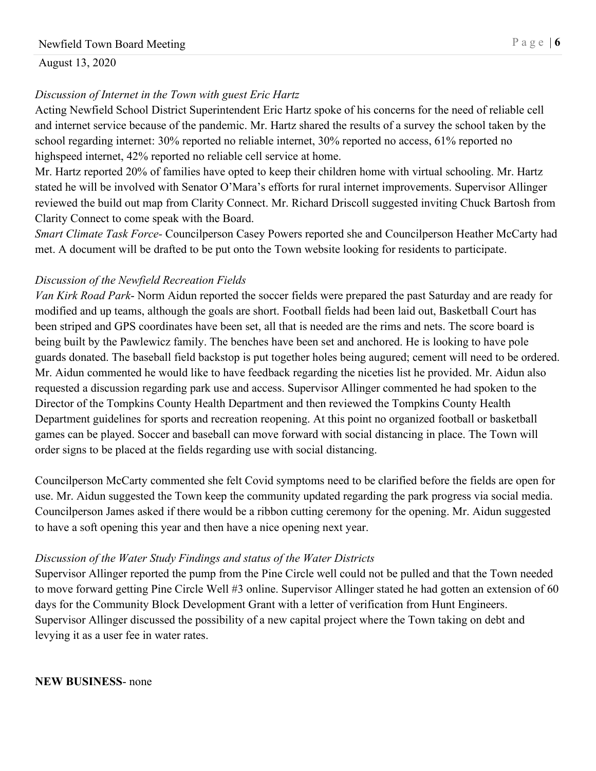# *Discussion of Internet in the Town with guest Eric Hartz*

Acting Newfield School District Superintendent Eric Hartz spoke of his concerns for the need of reliable cell and internet service because of the pandemic. Mr. Hartz shared the results of a survey the school taken by the school regarding internet: 30% reported no reliable internet, 30% reported no access, 61% reported no highspeed internet, 42% reported no reliable cell service at home.

Mr. Hartz reported 20% of families have opted to keep their children home with virtual schooling. Mr. Hartz stated he will be involved with Senator O'Mara's efforts for rural internet improvements. Supervisor Allinger reviewed the build out map from Clarity Connect. Mr. Richard Driscoll suggested inviting Chuck Bartosh from Clarity Connect to come speak with the Board.

*Smart Climate Task Force-* Councilperson Casey Powers reported she and Councilperson Heather McCarty had met. A document will be drafted to be put onto the Town website looking for residents to participate.

## *Discussion of the Newfield Recreation Fields*

*Van Kirk Road Park*- Norm Aidun reported the soccer fields were prepared the past Saturday and are ready for modified and up teams, although the goals are short. Football fields had been laid out, Basketball Court has been striped and GPS coordinates have been set, all that is needed are the rims and nets. The score board is being built by the Pawlewicz family. The benches have been set and anchored. He is looking to have pole guards donated. The baseball field backstop is put together holes being augured; cement will need to be ordered. Mr. Aidun commented he would like to have feedback regarding the niceties list he provided. Mr. Aidun also requested a discussion regarding park use and access. Supervisor Allinger commented he had spoken to the Director of the Tompkins County Health Department and then reviewed the Tompkins County Health Department guidelines for sports and recreation reopening. At this point no organized football or basketball games can be played. Soccer and baseball can move forward with social distancing in place. The Town will order signs to be placed at the fields regarding use with social distancing.

Councilperson McCarty commented she felt Covid symptoms need to be clarified before the fields are open for use. Mr. Aidun suggested the Town keep the community updated regarding the park progress via social media. Councilperson James asked if there would be a ribbon cutting ceremony for the opening. Mr. Aidun suggested to have a soft opening this year and then have a nice opening next year.

# *Discussion of the Water Study Findings and status of the Water Districts*

Supervisor Allinger reported the pump from the Pine Circle well could not be pulled and that the Town needed to move forward getting Pine Circle Well #3 online. Supervisor Allinger stated he had gotten an extension of 60 days for the Community Block Development Grant with a letter of verification from Hunt Engineers. Supervisor Allinger discussed the possibility of a new capital project where the Town taking on debt and levying it as a user fee in water rates.

**NEW BUSINESS**- none